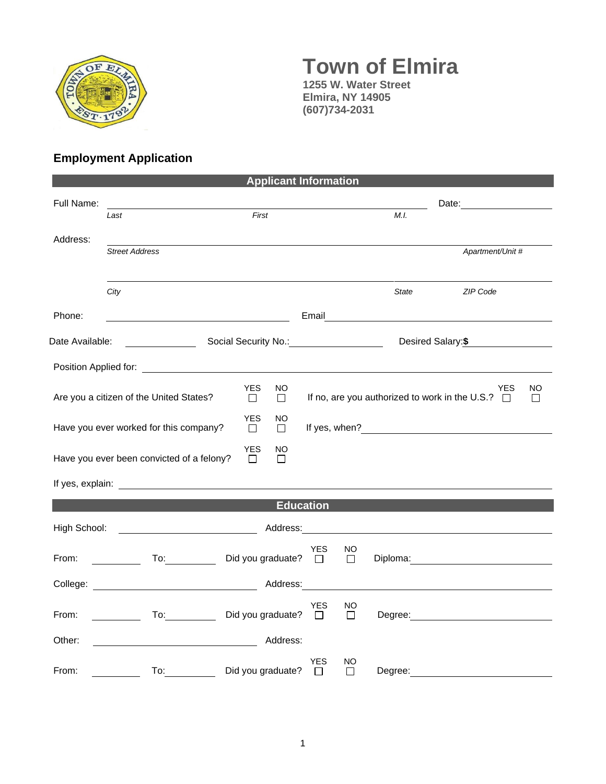

## **Town of Elmira 1255 W. Water Street**

**Elmira, NY 14905 (607)734-2031**

## **Employment Application**

| <b>Applicant Information</b>                 |                                                     |                                   |                     |              |              |                                                                                                                                                                                                                                |                |  |  |
|----------------------------------------------|-----------------------------------------------------|-----------------------------------|---------------------|--------------|--------------|--------------------------------------------------------------------------------------------------------------------------------------------------------------------------------------------------------------------------------|----------------|--|--|
| Full Name:                                   |                                                     |                                   |                     |              |              | Date: <u>_________</u>                                                                                                                                                                                                         |                |  |  |
|                                              | Last                                                | First                             |                     |              | M.I.         |                                                                                                                                                                                                                                |                |  |  |
| Address:                                     | <b>Street Address</b>                               |                                   |                     |              |              | Apartment/Unit #                                                                                                                                                                                                               |                |  |  |
|                                              |                                                     |                                   |                     |              |              |                                                                                                                                                                                                                                |                |  |  |
|                                              | City                                                |                                   |                     |              | <b>State</b> | ZIP Code                                                                                                                                                                                                                       |                |  |  |
| Phone:                                       |                                                     |                                   |                     |              |              | Email and the contract of the contract of the contract of the contract of the contract of the contract of the                                                                                                                  |                |  |  |
| Social Security No.: 1997<br>Date Available: |                                                     |                                   | Desired Salary:\$   |              |              |                                                                                                                                                                                                                                |                |  |  |
|                                              |                                                     |                                   |                     |              |              |                                                                                                                                                                                                                                |                |  |  |
|                                              | Are you a citizen of the United States?             | <b>YES</b><br>NO.<br>⊔<br>$\perp$ |                     |              |              | YES<br>If no, are you authorized to work in the U.S.? $\Box$                                                                                                                                                                   | NO.<br>$\perp$ |  |  |
|                                              | Have you ever worked for this company?              | YES<br>NO<br>$\Box$<br>$\Box$     |                     |              |              |                                                                                                                                                                                                                                |                |  |  |
|                                              | Have you ever been convicted of a felony?           | <b>YES</b><br>NO<br>$\Box$<br>П   |                     |              |              |                                                                                                                                                                                                                                |                |  |  |
|                                              |                                                     |                                   |                     |              |              |                                                                                                                                                                                                                                |                |  |  |
|                                              |                                                     |                                   | <b>Education</b>    |              |              |                                                                                                                                                                                                                                |                |  |  |
| High School:                                 | <u> 1980 - John Stein, Amerikaansk politiker (</u>  |                                   |                     |              |              | Address: Analysis and the state of the state of the state of the state of the state of the state of the state of the state of the state of the state of the state of the state of the state of the state of the state of the s |                |  |  |
| From:                                        | $\mathsf{To:}\qquad \qquad \qquad$                  | Did you graduate?                 | <b>YES</b><br>$\pm$ | NO<br>$\Box$ |              | Diploma: <u>___________________</u>                                                                                                                                                                                            |                |  |  |
|                                              |                                                     | Address:                          |                     |              |              |                                                                                                                                                                                                                                |                |  |  |
| From:                                        |                                                     | To: Did you graduate?             | YES<br>$\Box$       | NO<br>□      |              |                                                                                                                                                                                                                                |                |  |  |
| Other:                                       | <u> 1980 - Johann Barbara, martxa alemaniar arg</u> | Address:                          |                     |              |              |                                                                                                                                                                                                                                |                |  |  |
| From:                                        | To:                                                 | Did you graduate?                 | YES<br>$\perp$      | NO<br>П      | Degree:      |                                                                                                                                                                                                                                |                |  |  |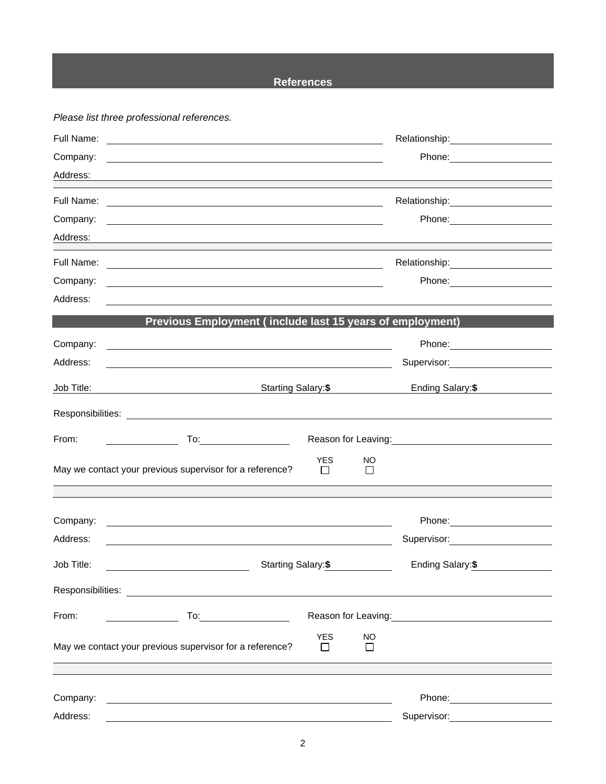## **References**

*Please list three professional references.*

| Full Name:                                                                                                                                                                                                                     | <u> 1989 - Johann John Stein, markin fizik eta idazleari (h. 1982).</u>                                                                                                                                                                 |
|--------------------------------------------------------------------------------------------------------------------------------------------------------------------------------------------------------------------------------|-----------------------------------------------------------------------------------------------------------------------------------------------------------------------------------------------------------------------------------------|
| Company:                                                                                                                                                                                                                       |                                                                                                                                                                                                                                         |
| Address:                                                                                                                                                                                                                       | and the control of the control of the control of the control of the control of the control of the control of the                                                                                                                        |
| Full Name:                                                                                                                                                                                                                     | Relationship: 2000                                                                                                                                                                                                                      |
| Company:                                                                                                                                                                                                                       | and the control of the control of the control of the control of the control of the control of the control of the                                                                                                                        |
| Address:                                                                                                                                                                                                                       | and the control of the control of the control of the control of the control of the control of the control of the                                                                                                                        |
| Full Name:                                                                                                                                                                                                                     | <u> 1989 - Johann Barn, amerikan besteman besteman besteman besteman besteman besteman besteman besteman besteman</u>                                                                                                                   |
| Company:                                                                                                                                                                                                                       | <u> 1989 - Johann Stoff, amerikansk politiker (d. 1989)</u>                                                                                                                                                                             |
| Address:                                                                                                                                                                                                                       |                                                                                                                                                                                                                                         |
|                                                                                                                                                                                                                                | Previous Employment (include last 15 years of employment)                                                                                                                                                                               |
| Company:                                                                                                                                                                                                                       | Phone: 2000 2010 2010 2010 2010 2021 2022 2022 2023 2024 2022 2023 2024 2022 2023 2024 2022 2023 2024 2025 20<br>and the control of the control of the control of the control of the control of the control of the control of the       |
| Address:                                                                                                                                                                                                                       | Supervisor: 2000                                                                                                                                                                                                                        |
| Job Title:                                                                                                                                                                                                                     | Starting Salary:\$<br>Ending Salary:\$                                                                                                                                                                                                  |
|                                                                                                                                                                                                                                |                                                                                                                                                                                                                                         |
| From:                                                                                                                                                                                                                          | Reason for Leaving: Network of Contract of the Reason for Leaving:                                                                                                                                                                      |
| May we contact your previous supervisor for a reference?                                                                                                                                                                       | <b>YES</b><br>NO<br>$\Box$<br>$\perp$                                                                                                                                                                                                   |
|                                                                                                                                                                                                                                |                                                                                                                                                                                                                                         |
| Company:                                                                                                                                                                                                                       | Phone: 2000 2000 2010 2010 2010 2010 2021 2022 2023 2024 2025 2020 2021 2022 2023 2021 2022 2023 2024 2025 20<br><u> 1989 - Johann Barn, mars ann an t-Amhain ann an t-Amhain ann an t-Amhain ann an t-Amhain an t-Amhain ann an t-</u> |
| Address:                                                                                                                                                                                                                       | Supervisor: Supervisor:                                                                                                                                                                                                                 |
| Job Title:                                                                                                                                                                                                                     | Ending Salary:\$<br>Starting Salary:\$                                                                                                                                                                                                  |
| Responsibilities: The contract of the contract of the contract of the contract of the contract of the contract of the contract of the contract of the contract of the contract of the contract of the contract of the contract |                                                                                                                                                                                                                                         |
| From:                                                                                                                                                                                                                          | Reason for Leaving: Management Control of Reason for Leaving:                                                                                                                                                                           |
| May we contact your previous supervisor for a reference?                                                                                                                                                                       | <b>YES</b><br><b>NO</b><br>$\Box$<br>$\mathsf{L}$                                                                                                                                                                                       |
|                                                                                                                                                                                                                                |                                                                                                                                                                                                                                         |
| Company:                                                                                                                                                                                                                       |                                                                                                                                                                                                                                         |
| Address:                                                                                                                                                                                                                       | Supervisor: <b>Supervisor:</b>                                                                                                                                                                                                          |